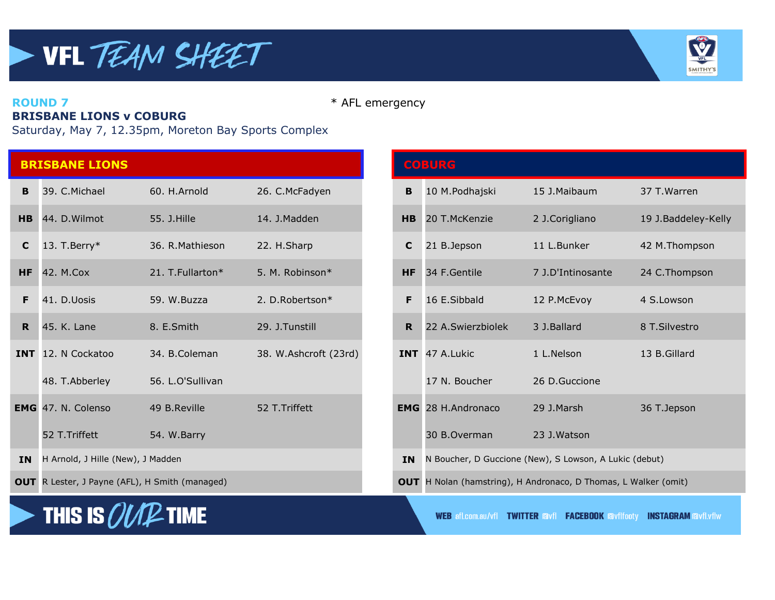

**ROUND 7** \* AFL emergency

## **BRISBANE LIONS v COBURG**

Saturday, May 7, 12.35pm, Moreton Bay Sports Complex

|                | <b>BRISBANE LIONS</b>             |                   |                       |                | <b>COBURG</b>             |                                                        |                     |
|----------------|-----------------------------------|-------------------|-----------------------|----------------|---------------------------|--------------------------------------------------------|---------------------|
| B.             | 39. C.Michael                     | 60. H.Arnold      | 26. C.McFadyen        | B              | 10 M.Podhajski            | 15 J.Maibaum                                           | 37 T. Warren        |
| H <sub>B</sub> | 44. D. Wilmot                     | 55. J. Hille      | 14. J.Madden          | H <sub>B</sub> | 20 T.McKenzie             | 2 J.Corigliano                                         | 19 J.Baddeley-Kelly |
| C              | 13. T. Berry $*$                  | 36. R. Mathieson  | 22. H.Sharp           | C              | 21 B.Jepson               | 11 L.Bunker                                            | 42 M.Thompson       |
| HF.            | 42. M.Cox                         | 21. T. Fullarton* | 5. M. Robinson*       | <b>HF</b>      | 34 F.Gentile              | 7 J.D'Intinosante                                      | 24 C.Thompson       |
| F.             | 41. D.Uosis                       | 59. W.Buzza       | 2. D.Robertson*       | F.             | 16 E.Sibbald              | 12 P.McEvoy                                            | 4 S.Lowson          |
| $\mathbf R$    | 45. K. Lane                       | 8. E.Smith        | 29. J.Tunstill        | $\mathbf R$    | 22 A.Swierzbiolek         | 3 J.Ballard                                            | 8 T.Silvestro       |
|                | <b>INT</b> 12. N Cockatoo         | 34. B.Coleman     | 38. W.Ashcroft (23rd) |                | INT 47 A.Lukic            | 1 L.Nelson                                             | 13 B.Gillard        |
|                | 48. T.Abberley                    | 56. L.O'Sullivan  |                       |                | 17 N. Boucher             | 26 D.Guccione                                          |                     |
|                | <b>EMG</b> 47. N. Colenso         | 49 B.Reville      | 52 T. Triffett        |                | <b>EMG</b> 28 H.Andronaco | 29 J.Marsh                                             | 36 T.Jepson         |
|                | 52 T.Triffett                     | 54. W.Barry       |                       |                | 30 B.Overman              | 23 J.Watson                                            |                     |
| <b>IN</b>      | H Arnold, J Hille (New), J Madden |                   |                       | <b>IN</b>      |                           | N Boucher, D Guccione (New), S Lowson, A Lukic (debut) |                     |

|  | <b>OUT</b> R Lester, J Payne (AFL), H Smith (managed) |  |
|--|-------------------------------------------------------|--|
|  |                                                       |  |



|                | <b>BRISBANE LIONS</b>                                 |                  |                       |             | <b>COBURG</b>                                                          |                                                        |                     |
|----------------|-------------------------------------------------------|------------------|-----------------------|-------------|------------------------------------------------------------------------|--------------------------------------------------------|---------------------|
| B              | 39. C.Michael                                         | 60. H.Arnold     | 26. C.McFadyen        | B           | 10 M.Podhajski                                                         | 15 J.Maibaum                                           | 37 T. Warren        |
| <b>HB</b>      | 44. D. Wilmot                                         | 55. J. Hille     | 14. J.Madden          | <b>HB</b>   | 20 T.McKenzie                                                          | 2 J.Corigliano                                         | 19 J.Baddeley-Kelly |
| $\mathbf{C}$   | 13. T. Berry $*$                                      | 36. R. Mathieson | 22. H.Sharp           | C           | 21 B.Jepson                                                            | 11 L.Bunker                                            | 42 M.Thompson       |
| <b>HF</b>      | 42. M.Cox                                             | 21. T.Fullarton* | 5. M. Robinson*       | <b>HF</b>   | 34 F.Gentile                                                           | 7 J.D'Intinosante                                      | 24 C.Thompson       |
| F.             | 41. D.Uosis                                           | 59. W.Buzza      | 2. D.Robertson*       | F           | 16 E.Sibbald                                                           | 12 P.McEvoy                                            | 4 S.Lowson          |
| R <sub>1</sub> | 45. K. Lane                                           | 8. E.Smith       | 29. J.Tunstill        | $\mathbf R$ | 22 A.Swierzbiolek                                                      | 3 J.Ballard                                            | 8 T.Silvestro       |
|                | <b>INT</b> 12. N Cockatoo                             | 34. B.Coleman    | 38. W.Ashcroft (23rd) |             | <b>INT</b> 47 A.Lukic                                                  | 1 L.Nelson                                             | 13 B.Gillard        |
|                | 48. T.Abberley                                        | 56. L.O'Sullivan |                       |             | 17 N. Boucher                                                          | 26 D.Guccione                                          |                     |
|                | EMG 47. N. Colenso                                    | 49 B.Reville     | 52 T. Triffett        |             | <b>EMG</b> 28 H.Andronaco                                              | 29 J.Marsh                                             | 36 T.Jepson         |
|                | 52 T.Triffett                                         | 54. W.Barry      |                       |             | 30 B.Overman                                                           | 23 J.Watson                                            |                     |
|                | IN H Arnold, J Hille (New), J Madden                  |                  |                       | <b>IN</b>   |                                                                        | N Boucher, D Guccione (New), S Lowson, A Lukic (debut) |                     |
|                | <b>OUT</b> R Lester, J Payne (AFL), H Smith (managed) |                  |                       |             | <b>OUT</b> H Nolan (hamstring), H Andronaco, D Thomas, L Walker (omit) |                                                        |                     |

**WEB afl.com.au/vfl TWITTER Favfl FACEBOOK Favflfooty INSTAGRAM Favfl.vflw**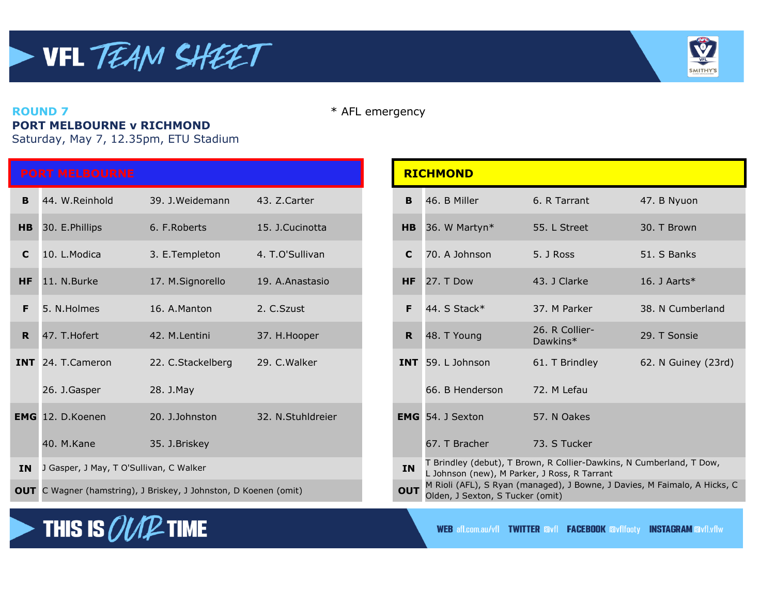

#### **ROUND 7** \* AFL emergency **PORT MELBOURNE v RICHMOND**

Saturday, May 7, 12.35pm, ETU Stadium

**THIS IS** *OUT***E** TIME

|           | <b>PORT MELBOURNE</b>                   |                                                                  |                   |                | <b>RICHMOND</b>                                                                                    |                                                                 |                 |
|-----------|-----------------------------------------|------------------------------------------------------------------|-------------------|----------------|----------------------------------------------------------------------------------------------------|-----------------------------------------------------------------|-----------------|
| B         | 44. W.Reinhold                          | 39. J. Weidemann                                                 | 43. Z.Carter      | B              | 46. B Miller                                                                                       | 6. R Tarrant                                                    | 47. B Nyuon     |
| HB        | 30. E.Phillips                          | 6. F. Roberts                                                    | 15. J.Cucinotta   | H <sub>B</sub> | 36. W Martyn*                                                                                      | 55. L Street                                                    | 30. T Brown     |
| C         | 10. L.Modica                            | 3. E. Templeton                                                  | 4. T.O'Sullivan   | C              | 70. A Johnson                                                                                      | 5. J Ross                                                       | 51. S Banks     |
| <b>HF</b> | 11. N.Burke                             | 17. M.Signorello                                                 | 19. A.Anastasio   | <b>HF</b>      | 27. T Dow                                                                                          | 43. J Clarke                                                    | 16. J Aarts $*$ |
| F.        | 5. N.Holmes                             | 16. A.Manton                                                     | 2. C.Szust        | F.             | 44. S Stack*                                                                                       | 37. M Parker                                                    | 38. N Cumbe     |
| R.        | 47. T.Hofert                            | 42. M.Lentini                                                    | 37. H. Hooper     | R              | 48. T Young                                                                                        | 26. R Collier-<br>Dawkins*                                      | 29. T Sonsie    |
|           | INT 24. T.Cameron                       | 22. C.Stackelberg                                                | 29. C. Walker     |                | INT 59. L Johnson                                                                                  | 61. T Brindley                                                  | 62. N Guiney    |
|           | 26. J.Gasper                            | 28. J.May                                                        |                   |                | 66. B Henderson                                                                                    | 72. M Lefau                                                     |                 |
|           | <b>EMG</b> 12. D.Koenen                 | 20. J.Johnston                                                   | 32. N.Stuhldreier |                | <b>EMG</b> 54. J Sexton                                                                            | 57. N Oakes                                                     |                 |
|           | 40. M.Kane                              | 35. J.Briskey                                                    |                   |                | 67. T Bracher                                                                                      | 73. S Tucker                                                    |                 |
| <b>IN</b> | J Gasper, J May, T O'Sullivan, C Walker |                                                                  |                   | <b>IN</b>      | L Johnson (new), M Parker, J Ross, R Tarrant                                                       | T Brindley (debut), T Brown, R Collier-Dawkins, N Cumberland, T |                 |
|           |                                         | OUT C Wagner (hamstring), J Briskey, J Johnston, D Koenen (omit) |                   | <b>OUT</b>     | M Rioli (AFL), S Ryan (managed), J Bowne, J Davies, M Faimalo, /<br>Oldon I Covton C Tucker (amit) |                                                                 |                 |

|             | <b>PORT MELBOURNE</b>                      |                                                                         |                   |            | <b>RICHMOND</b>                                                                                                      |                                                                                                               |                     |  |  |
|-------------|--------------------------------------------|-------------------------------------------------------------------------|-------------------|------------|----------------------------------------------------------------------------------------------------------------------|---------------------------------------------------------------------------------------------------------------|---------------------|--|--|
| B.          | 44. W.Reinhold                             | 39. J. Weidemann                                                        | 43. Z.Carter      | в          | 46. B Miller                                                                                                         | 6. R Tarrant                                                                                                  | 47. B Nyuon         |  |  |
|             | HB 30. E. Phillips                         | 6. F. Roberts                                                           | 15. J.Cucinotta   |            | <b>HB</b> 36. W Martyn $*$                                                                                           | 55. L Street                                                                                                  | 30. T Brown         |  |  |
| C.          | 10. L.Modica                               | 3. E.Templeton                                                          | 4. T.O'Sullivan   | C          | 70. A Johnson                                                                                                        | 5. J Ross                                                                                                     | 51. S Banks         |  |  |
| HF.         | 11. N.Burke                                | 17. M.Signorello                                                        | 19. A.Anastasio   |            | $HF$ 27. T Dow                                                                                                       | 43. J Clarke                                                                                                  | 16. J Aarts $*$     |  |  |
| F.          | 5. N.Holmes                                | 16. A.Manton                                                            | 2. C.Szust        | F.         | 44. S Stack*                                                                                                         | 37. M Parker                                                                                                  | 38. N Cumberland    |  |  |
| $\mathbf R$ | 47. T. Hofert                              | 42. M.Lentini                                                           | 37. H. Hooper     | R.         | 48. T Young                                                                                                          | 26. R Collier-<br>Dawkins*                                                                                    | 29. T Sonsie        |  |  |
|             | INT 24. T.Cameron                          | 22. C.Stackelberg                                                       | 29. C. Walker     |            | INT 59. L Johnson                                                                                                    | 61. T Brindley                                                                                                | 62. N Guiney (23rd) |  |  |
|             | 26. J.Gasper                               | 28. J.May                                                               |                   |            | 66. B Henderson                                                                                                      | 72. M Lefau                                                                                                   |                     |  |  |
|             | EMG 12. D.Koenen                           | 20. J.Johnston                                                          | 32. N.Stuhldreier |            | <b>EMG</b> 54. J Sexton                                                                                              | 57. N Oakes                                                                                                   |                     |  |  |
|             | 40. M.Kane                                 | 35. J.Briskey                                                           |                   |            | 67. T Bracher                                                                                                        | 73. S Tucker                                                                                                  |                     |  |  |
|             | IN J Gasper, J May, T O'Sullivan, C Walker |                                                                         |                   | <b>IN</b>  | T Brindley (debut), T Brown, R Collier-Dawkins, N Cumberland, T Dow,<br>L Johnson (new), M Parker, J Ross, R Tarrant |                                                                                                               |                     |  |  |
|             |                                            | <b>OUT</b> C Wagner (hamstring), J Briskey, J Johnston, D Koenen (omit) |                   | <b>OUT</b> |                                                                                                                      | M Rioli (AFL), S Ryan (managed), J Bowne, J Davies, M Faimalo, A Hicks, C<br>Olden, J Sexton, S Tucker (omit) |                     |  |  |

**WEB** afl.com.au/vfl **TWITTER avfl FACEBOOK** avflfooty **INSTAGRAM** avfl.vflw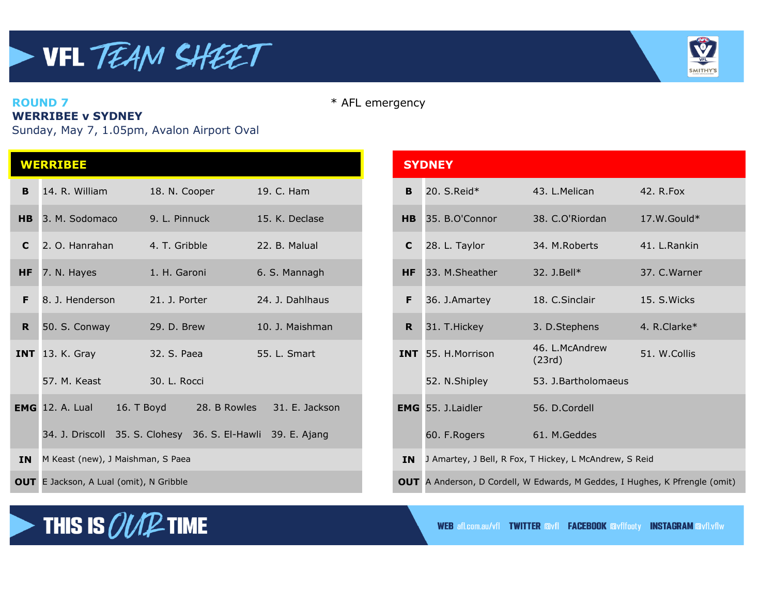

**ROUND 7** \* AFL emergency

#### **WERRIBEE v SYDNEY**

Sunday, May 7, 1.05pm, Avalon Airport Oval

|             | <b>WERRIBEE</b>                      |                                                             |                 |              | <b>SYDNEY</b>             |                                                        |               |
|-------------|--------------------------------------|-------------------------------------------------------------|-----------------|--------------|---------------------------|--------------------------------------------------------|---------------|
| B           | 14. R. William                       | 18. N. Cooper                                               | 19. C. Ham      | B            | 20. S.Reid*               | 43. L.Melican                                          | 42. R. Fox    |
| H B         | 3. M. Sodomaco                       | 9. L. Pinnuck                                               | 15. K. Declase  | <b>HB</b>    | 35. B.O'Connor            | 38. C.O'Riordan                                        | $17.W.Gould*$ |
| $\mathbf C$ | 2. O. Hanrahan                       | 4. T. Gribble                                               | 22. B. Malual   | $\mathbf{C}$ | 28. L. Taylor             | 34. M.Roberts                                          | 41. L.Rankin  |
| <b>HF</b>   | 7. N. Hayes                          | 1. H. Garoni                                                | 6. S. Mannagh   | <b>HF</b>    | 33. M.Sheather            | 32. J.Bell*                                            | 37. C. Warner |
| F           | 8. J. Henderson                      | 21. J. Porter                                               | 24. J. Dahlhaus | F            | 36. J.Amartey             | 18. C.Sinclair                                         | 15. S. Wicks  |
| <b>R</b>    | 50. S. Conway                        | 29. D. Brew                                                 | 10. J. Maishman | R            | 31. T. Hickey             | 3. D.Stephens                                          | 4. R.Clarke*  |
|             | <b>INT</b> 13. K. Gray               | 32. S. Paea                                                 | 55. L. Smart    |              | INT 55. H.Morrison        | 46. L.McAndrew<br>(23rd)                               | 51. W.Collis  |
|             | 57. M. Keast                         | 30. L. Rocci                                                |                 |              | 52. N.Shipley             | 53. J. Bartholomaeus                                   |               |
|             | <b>EMG</b> 12. A. Lual<br>16. T Boyd | 28. B Rowles                                                | 31. E. Jackson  |              | <b>EMG</b> 55. J. Laidler | 56. D.Cordell                                          |               |
|             |                                      | 34. J. Driscoll 35. S. Clohesy 36. S. El-Hawli 39. E. Ajang |                 |              | 60. F.Rogers              | 61. M. Geddes                                          |               |
| <b>IN</b>   | M Keast (new), J Maishman, S Paea    |                                                             |                 | <b>IN</b>    |                           | J Amartey, J Bell, R Fox, T Hickey, L McAndrew, S Reid |               |
|             |                                      |                                                             |                 |              |                           |                                                        |               |

|              | <b>WERRIBEE</b>                                |                                                             |                 |              | <b>SYDNEY</b>       |                                                                                    |               |  |
|--------------|------------------------------------------------|-------------------------------------------------------------|-----------------|--------------|---------------------|------------------------------------------------------------------------------------|---------------|--|
|              | <b>B</b> 14. R. William                        | 18. N. Cooper                                               | 19. C. Ham      | B            | 20. $S$ .Reid $*$   | 43. L.Melican                                                                      | 42. R.Fox     |  |
|              | HB 3. M. Sodomaco                              | 9. L. Pinnuck                                               | 15. K. Declase  |              | HB 35, B.O'Connor   | 38. C.O'Riordan                                                                    | $17.W.Gould*$ |  |
| $\mathbf{C}$ | 2. O. Hanrahan                                 | 4. T. Gribble                                               | 22. B. Malual   | $\mathbf{C}$ | 28. L. Taylor       | 34. M.Roberts                                                                      | 41. L.Rankin  |  |
| HF.          | 7. N. Hayes                                    | 1. H. Garoni                                                | 6. S. Mannagh   | <b>HF</b>    | 33. M.Sheather      | 32. J.Bell*                                                                        | 37. C. Warner |  |
| F.           | 8. J. Henderson                                | 21. J. Porter                                               | 24. J. Dahlhaus | F            | 36. J.Amartey       | 18. C. Sinclair                                                                    | 15. S. Wicks  |  |
| $\mathbf R$  | 50. S. Conway                                  | 29. D. Brew                                                 | 10. J. Maishman | $\mathbf R$  | 31. T. Hickey       | 3. D.Stephens                                                                      | 4. R.Clarke*  |  |
|              | <b>INT</b> 13. K. Gray                         | 32. S. Paea                                                 | 55. L. Smart    |              | INT 55. H. Morrison | 46. L.McAndrew<br>(23rd)                                                           | 51. W.Collis  |  |
|              | 57. M. Keast                                   | 30. L. Rocci                                                |                 |              | 52. N.Shipley       | 53. J.Bartholomaeus                                                                |               |  |
|              | 16. T Boyd<br><b>EMG</b> 12. A. Lual           | 28. B Rowles                                                | 31. E. Jackson  |              | EMG 55. J. Laidler  | 56. D.Cordell                                                                      |               |  |
|              |                                                | 34. J. Driscoll 35. S. Clohesy 36. S. El-Hawli 39. E. Ajang |                 |              | 60. F.Rogers        | 61. M. Geddes                                                                      |               |  |
|              | <b>IN</b> M Keast (new), J Maishman, S Paea    |                                                             |                 | <b>IN</b>    |                     | J Amartey, J Bell, R Fox, T Hickey, L McAndrew, S Reid                             |               |  |
|              | <b>OUT</b> E Jackson, A Lual (omit), N Gribble |                                                             |                 |              |                     | <b>OUT</b> A Anderson, D Cordell, W Edwards, M Geddes, I Hughes, K Pfrengle (omit) |               |  |



**WEB afl.com.au/vfl TWITTER Avfl FACEBOOK Avflfooty INSTAGRAM Avfl.vflw**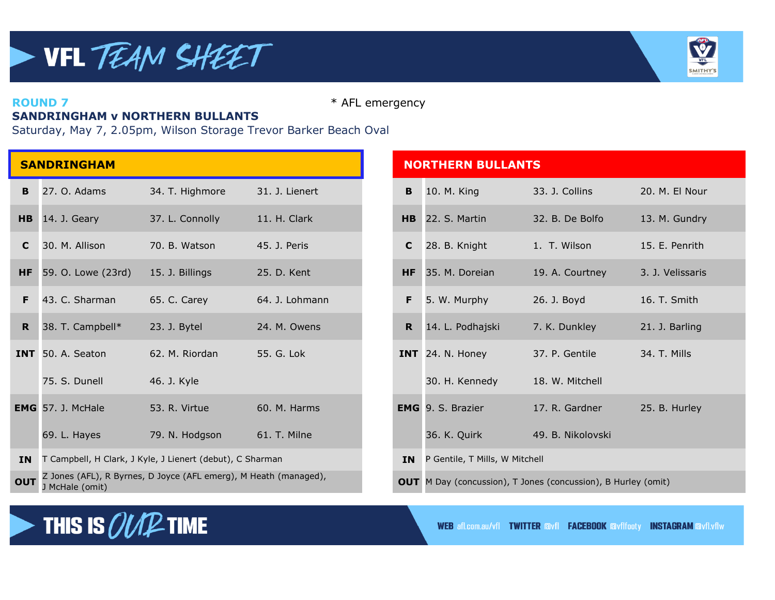

**ROUND 7** \* AFL emergency

## **SANDRINGHAM v NORTHERN BULLANTS**

Saturday, May 7, 2.05pm, Wilson Storage Trevor Barker Beach Oval

|             | <b>SANDRINGHAM</b>       |                                                                  |                |             | <b>NORTHERN BULLANTS</b>                                             |                   |                  |
|-------------|--------------------------|------------------------------------------------------------------|----------------|-------------|----------------------------------------------------------------------|-------------------|------------------|
| B.          | 27. O. Adams             | 34. T. Highmore                                                  | 31. J. Lienert | B           | 10. M. King                                                          | 33. J. Collins    | 20. M. El Nour   |
| H B         | 14. J. Geary             | 37. L. Connolly                                                  | 11. H. Clark   |             | HB 22. S. Martin                                                     | 32. B. De Bolfo   | 13. M. Gundry    |
| C           | 30. M. Allison           | 70. B. Watson                                                    | 45. J. Peris   | $\mathbf C$ | 28. B. Knight                                                        | 1. T. Wilson      | 15. E. Penrith   |
| <b>HF</b>   | 59. O. Lowe (23rd)       | 15. J. Billings                                                  | 25. D. Kent    | HF          | 35. M. Doreian                                                       | 19. A. Courtney   | 3. J. Velissaris |
| F           | 43. C. Sharman           | 65. C. Carey                                                     | 64. J. Lohmann | F           | 5. W. Murphy                                                         | 26. J. Boyd       | 16. T. Smith     |
| $\mathbf R$ | 38. T. Campbell*         | 23. J. Bytel                                                     | 24. M. Owens   | R           | 14. L. Podhajski                                                     | 7. K. Dunkley     | 21. J. Barling   |
|             | INT 50. A. Seaton        | 62. M. Riordan                                                   | 55. G. Lok     |             | INT 24. N. Honey                                                     | 37. P. Gentile    | 34. T. Mills     |
|             | 75. S. Dunell            | 46. J. Kyle                                                      |                |             | 30. H. Kennedy                                                       | 18. W. Mitchell   |                  |
|             | <b>EMG</b> 57. J. McHale | 53. R. Virtue                                                    | 60. M. Harms   |             | <b>EMG</b> 9. S. Brazier                                             | 17. R. Gardner    | 25. B. Hurley    |
|             | 69. L. Hayes             | 79. N. Hodgson                                                   | 61. T. Milne   |             | 36. K. Quirk                                                         | 49. B. Nikolovski |                  |
| <b>IN</b>   |                          | T Campbell, H Clark, J Kyle, J Lienert (debut), C Sharman        |                | <b>IN</b>   | P Gentile, T Mills, W Mitchell                                       |                   |                  |
| <b>OUT</b>  | $1$ McHalo (amit)        | Z Jones (AFL), R Byrnes, D Joyce (AFL emerg), M Heath (managed), |                |             | <b>OUT</b> M Day (concussion), T Jones (concussion), B Hurley (omit) |                   |                  |

| <b>IDRINGHAM</b>   |                                                                  |                | <b>NORTHERN BULLANTS</b> |                                          |                                                                      |                  |
|--------------------|------------------------------------------------------------------|----------------|--------------------------|------------------------------------------|----------------------------------------------------------------------|------------------|
| 27. O. Adams       | 34. T. Highmore                                                  | 31. J. Lienert | B                        | 10. M. King                              | 33. J. Collins                                                       | 20. M. El Nour   |
| 14. J. Geary       | 37. L. Connolly                                                  | 11. H. Clark   | $H$ B                    | 22. S. Martin                            | 32. B. De Bolfo                                                      | 13. M. Gundry    |
| 30. M. Allison     | 70. B. Watson                                                    | 45. J. Peris   | $\mathbf{C}$             | 28. B. Knight                            | 1. T. Wilson                                                         | 15. E. Penrith   |
| 59. O. Lowe (23rd) | 15. J. Billings                                                  | 25. D. Kent    | <b>HF</b>                | 35. M. Doreian                           | 19. A. Courtney                                                      | 3. J. Velissaris |
| 43. C. Sharman     | 65. C. Carey                                                     | 64. J. Lohmann | F.                       | 5. W. Murphy                             | 26. J. Boyd                                                          | 16. T. Smith     |
| 38. T. Campbell*   | 23. J. Bytel                                                     | 24. M. Owens   | R                        | 14. L. Podhajski                         | 7. K. Dunkley                                                        | 21. J. Barling   |
| 50. A. Seaton      | 62. M. Riordan                                                   | 55. G. Lok     |                          | INT 24. N. Honey                         | 37. P. Gentile                                                       | 34. T. Mills     |
| 75. S. Dunell      | 46. J. Kyle                                                      |                |                          | 30. H. Kennedy                           | 18. W. Mitchell                                                      |                  |
| 57. J. McHale      | 53. R. Virtue                                                    | 60, M. Harms   |                          | <b>EMG</b> 9. S. Brazier                 | 17. R. Gardner                                                       | 25. B. Hurley    |
| 69. L. Hayes       | 79. N. Hodgson                                                   | 61. T. Milne   |                          | 36. K. Quirk                             | 49. B. Nikolovski                                                    |                  |
|                    | T Campbell, H Clark, J Kyle, J Lienert (debut), C Sharman        |                |                          | <b>IN</b> P Gentile, T Mills, W Mitchell |                                                                      |                  |
| J McHale (omit)    | Z Jones (AFL), R Byrnes, D Joyce (AFL emerg), M Heath (managed), |                |                          |                                          | <b>OUT</b> M Day (concussion), T Jones (concussion), B Hurley (omit) |                  |



**WEB afl.com.au/vfl TWITTER Avfl FACEBOOK Avflfooty INSTAGRAM Avfl.vflw**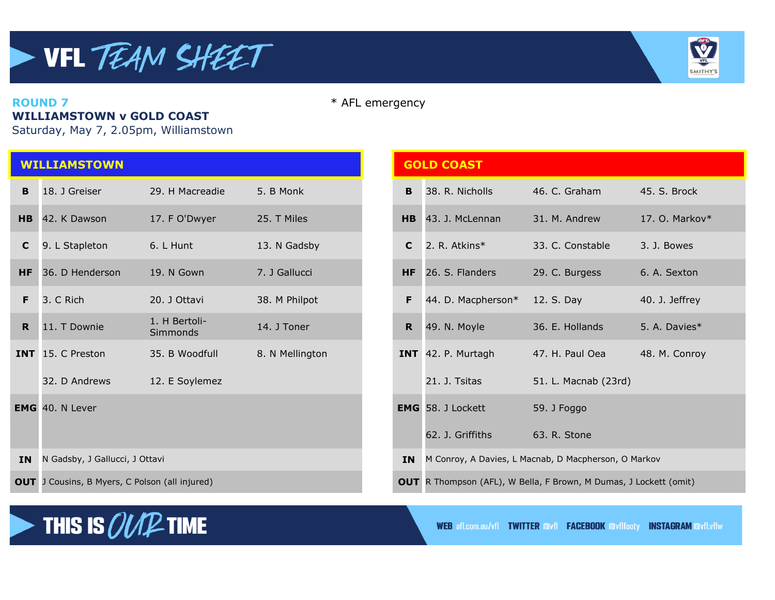

#### **ROUND 7** \* AFL emergency **WILLIAMSTOWN v GOLD COAST**

Saturday, May 7, 2.05pm, Williamstown

|              | <b>WILLIAMSTOWN</b>                                 |                           |                 |             | <b>GOLD COAST</b>        |                                                                      |                   |  |
|--------------|-----------------------------------------------------|---------------------------|-----------------|-------------|--------------------------|----------------------------------------------------------------------|-------------------|--|
| B            | 18. J Greiser                                       | 29. H Macreadie           | 5. B Monk       | B           | 38. R. Nicholls          | 46. C. Graham                                                        | 45. S. Brock      |  |
|              | HB 42. K Dawson                                     | 17. F O'Dwyer             | 25. T Miles     | <b>HB</b>   | 43. J. McLennan          | 31. M. Andrew                                                        | 17. O. Markov $*$ |  |
| $\mathbf{C}$ | 9. L Stapleton                                      | 6. L Hunt                 | 13. N Gadsby    | $\mathbf c$ | 2. R. Atkins*            | 33. C. Constable                                                     | 3. J. Bowes       |  |
| <b>HF</b>    | 36. D Henderson                                     | 19. N Gown                | 7. J Gallucci   | <b>HF</b>   | 26. S. Flanders          | 29. C. Burgess                                                       | 6. A. Sexton      |  |
| F.           | 3. C Rich                                           | 20. J Ottavi              | 38. M Philpot   | F           | 44. D. Macpherson*       | 12. S. Day                                                           | 40. J. Jeffrey    |  |
| R.           | 11. T Downie                                        | 1. H Bertoli-<br>Simmonds | 14. J Toner     | $\mathbf R$ | 49. N. Moyle             | 36. E. Hollands                                                      | 5. A. Davies*     |  |
|              | <b>INT</b> 15. C Preston                            | 35. B Woodfull            | 8. N Mellington |             | INT 42. P. Murtagh       | 47. H. Paul Oea                                                      | 48. M. Conroy     |  |
|              | 32. D Andrews                                       | 12. E Soylemez            |                 |             | 21. J. Tsitas            | 51. L. Macnab (23rd)                                                 |                   |  |
|              | <b>EMG</b> 40. N Lever                              |                           |                 |             | <b>EMG</b> 58. J Lockett | 59. J Foggo                                                          |                   |  |
|              |                                                     |                           |                 |             | 62. J. Griffiths         | 63. R. Stone                                                         |                   |  |
| <b>IN</b>    | N Gadsby, J Gallucci, J Ottavi                      |                           |                 | <b>IN</b>   |                          | M Conroy, A Davies, L Macnab, D Macpherson, O Markov                 |                   |  |
|              | <b>OUT</b> 1 Cousins B Myers C Polson (all injured) |                           |                 |             |                          | <b>OUT</b> R Thompson (AFI) W Bella F Brown M Dumas 11 ockett (omit) |                   |  |

|                | <b>WILLIAMSTOWN</b>                                   |                           |                 |           | <b>GOLD COAST</b>                                    |                                                                   |                   |
|----------------|-------------------------------------------------------|---------------------------|-----------------|-----------|------------------------------------------------------|-------------------------------------------------------------------|-------------------|
| B              | 18. J Greiser                                         | 29. H Macreadie           | 5. B Monk       | B         | 38. R. Nicholls                                      | 46. C. Graham                                                     | 45. S. Brock      |
|                | HB 42. K Dawson                                       | 17. F O'Dwyer             | 25. T Miles     |           | HB 43. J. McLennan                                   | 31. M. Andrew                                                     | 17. O. Markov $*$ |
| $\mathbf{C}$   | 9. L Stapleton                                        | 6. L Hunt                 | 13. N Gadsby    | C         | 2. R. Atkins*                                        | 33. C. Constable                                                  | 3. J. Bowes       |
| HF.            | 36. D Henderson                                       | 19. N Gown                | 7. J Gallucci   | HF        | 26. S. Flanders                                      | 29. C. Burgess                                                    | 6. A. Sexton      |
| F.             | 3. C Rich                                             | 20. J Ottavi              | 38. M Philpot   | F         | 44. D. Macpherson*                                   | 12. S. Day                                                        | 40. J. Jeffrey    |
| R <sub>1</sub> | 11. T Downie                                          | 1. H Bertoli-<br>Simmonds | 14. J Toner     | R.        | 49. N. Moyle                                         | 36. E. Hollands                                                   | 5. A. Davies*     |
|                | INT 15. C Preston                                     | 35. B Woodfull            | 8. N Mellington |           | INT 42. P. Murtagh                                   | 47. H. Paul Oea                                                   | 48. M. Conroy     |
|                | 32. D Andrews                                         | 12. E Soylemez            |                 |           | 21. J. Tsitas                                        | 51. L. Macnab (23rd)                                              |                   |
|                | EMG 40. N Lever                                       |                           |                 |           | <b>EMG</b> 58. J Lockett                             | 59. J Foggo                                                       |                   |
|                |                                                       |                           |                 |           | 62. J. Griffiths                                     | 63. R. Stone                                                      |                   |
|                | IN N Gadsby, J Gallucci, J Ottavi                     |                           |                 | <b>IN</b> | M Conroy, A Davies, L Macnab, D Macpherson, O Markov |                                                                   |                   |
|                | <b>OUT</b> J Cousins, B Myers, C Polson (all injured) |                           |                 |           |                                                      | OUT R Thompson (AFL), W Bella, F Brown, M Dumas, J Lockett (omit) |                   |



**WEB** afl.com.au/vfl **TWITTER avfl FACEBOOK** avflfooty **INSTAGRAM** avfl.vflw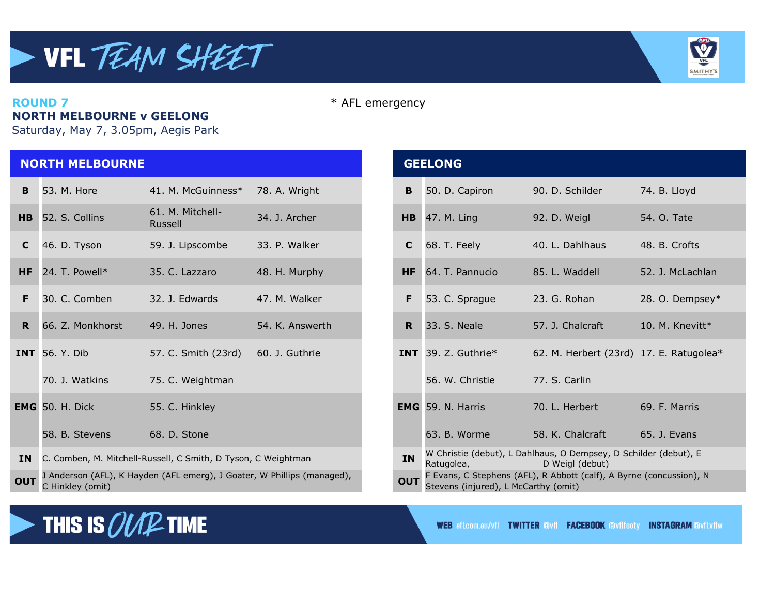

#### **ROUND 7** \* AFL emergency **NORTH MELBOURNE v GEELONG**

Saturday, May 7, 3.05pm, Aegis Park

THIS IS  $\mathcal{OUP}$  time

## **NORTH MELBOURNE GEELONG B** 53. M. Hore 41. M. McGuinness\* 78. A. Wright **B** 50. D. Capiron 90. D. Schilder 74. B. Lloyd **HB** 52. S. Collins 61. M. Mitchell-**C** 46. D. Tyson 59. J. Lipscombe 33. P. Walker **C** 68. T. Feely 40. L. Dahlhaus 48. B. Crofts **HF** 24. T. Powell\* 35. C. Lazzaro 48. H. Murphy **HF** 64. T. Pannucio 85. L. Waddell 52. J. McLachlan **R** 66. Z. Monkhorst 49. H. Jones 54. K. Answerth **R** 33. S. Neale 57. J. Chalcraft 10. M. Knevitt\* **INT** 56. Y. Dib 57. C. Smith (23rd) 60. J. Guthrie **INT** 39. Z. Guthrie\* 62. M. Herbert (23rd) 17. E. Ratugolea\* 70. J. Watkins 75. C. Weightman 56. W. Christie 77. S. Carlin **EMG** 50. H. Dick 55. C. Hinkley **EMG** 59. N. Harris 70. L. Herbert 69. F. Marris 58. B. Stevens 68. D. Stone 68. At the state of the state of the state 65. Galacraft 65. J. Evans **IN** C. Comben, M. Mitchell-Russell, C Smith, D Tyson, C Weightman W Christie (debut), L Dahlhaus, O Dempsey, D Schilder (debut), E **OUT** J Anderson (AFL), K Hayden (AFL emerg), J Goater, W Phillips (managed), **OUT OUT** C Hinkley (omit)

# Russell 34. J. Archer **HB** 47. M. Ling 92. D. Weigl 54. O. Tate **F** 30. C. Comben 32. J. Edwards 47. M. Walker **F** 53. C. Sprague 23. G. Rohan 28. O. Dempsey\* Ratugolea, D Weigl (debut) F Evans, C Stephens (AFL), R Abbott (calf), A Byrne (concussion), N Stevens (injured), L McCarthy (omit)

**WEB afl.com.au/vfl TWITTER FAVIL FACEBOOK FROM FROM THISTAGRAM FROM THE**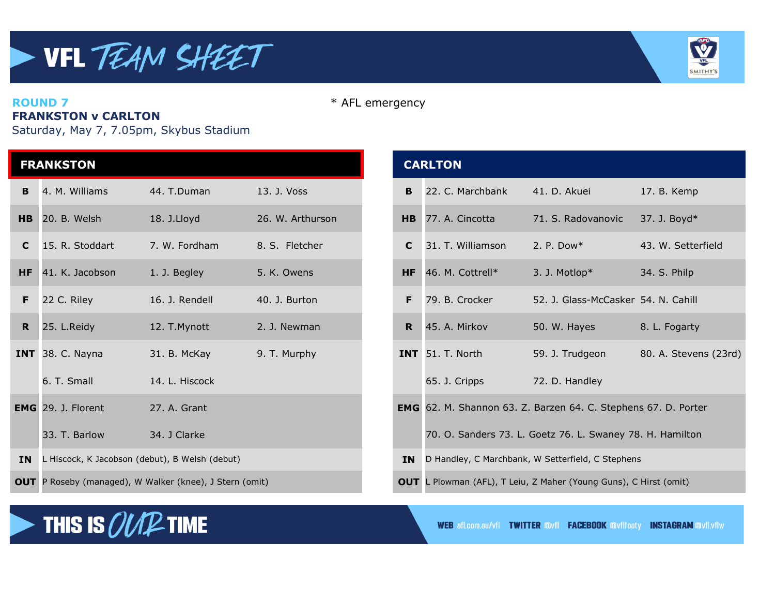

**ROUND 7** \* AFL emergency

## **FRANKSTON v CARLTON**

Saturday, May 7, 7.05pm, Skybus Stadium

|           | <b>FRANKSTON</b>                               |                                                                |                  |           | <b>CARLTON</b>                                                    |                                                           |                    |
|-----------|------------------------------------------------|----------------------------------------------------------------|------------------|-----------|-------------------------------------------------------------------|-----------------------------------------------------------|--------------------|
| B.        | 4. M. Williams                                 | 44. T.Duman                                                    | 13. J. Voss      | B.        | 22. C. Marchbank                                                  | 41. D. Akuei                                              | 17. B. Kemp        |
|           | HB 20. B. Welsh                                | 18. J.Lloyd                                                    | 26. W. Arthurson |           | HB 77. A. Cincotta                                                | 71. S. Radovanovic                                        | 37. J. Boyd*       |
| C         | 15. R. Stoddart                                | 7. W. Fordham                                                  | 8. S. Fletcher   | C.        | 31. T. Williamson                                                 | 2. P. Dow $*$                                             | 43. W. Setterfield |
| <b>HF</b> | 41. K. Jacobson                                | 1. J. Begley                                                   | 5. K. Owens      | <b>HF</b> | 46. M. Cottrell*                                                  | 3. J. Motlop*                                             | 34. S. Philp       |
| F         | 22 C. Riley                                    | 16. J. Rendell                                                 | 40. J. Burton    | F.        | 79. B. Crocker                                                    | 52. J. Glass-McCasker 54. N. Cahill                       |                    |
| R         | 25. L.Reidy                                    | 12. T. Mynott                                                  | 2. J. Newman     |           | R 45. A. Mirkov                                                   | 50. W. Hayes                                              | 8. L. Fogarty      |
|           | INT 38. C. Nayna                               | 31. B. McKay                                                   | 9. T. Murphy     |           | INT 51. T. North                                                  | 59. J. Trudgeon                                           | 80. A. Stevens (2  |
|           | 6. T. Small                                    | 14. L. Hiscock                                                 |                  |           | 65. J. Cripps                                                     | 72. D. Handley                                            |                    |
|           | <b>EMG</b> 29. J. Florent                      | 27. A. Grant                                                   |                  |           | EMG 62. M. Shannon 63. Z. Barzen 64. C. Stephens 67. D. Porter    |                                                           |                    |
|           | 33. T. Barlow                                  | 34. J Clarke                                                   |                  |           |                                                                   | 70. O. Sanders 73. L. Goetz 76. L. Swaney 78. H. Hamilton |                    |
| <b>IN</b> | L Hiscock, K Jacobson (debut), B Welsh (debut) |                                                                |                  |           | IN D Handley, C Marchbank, W Setterfield, C Stephens              |                                                           |                    |
|           |                                                | <b>OUT</b> P Roseby (managed), W Walker (knee), J Stern (omit) |                  |           | OUT L Plowman (AFL), T Leiu, Z Maher (Young Guns), C Hirst (omit) |                                                           |                    |

| <b>FRANKSTON</b> |                                                         |                |                  |    | <b>CARLTON</b>                                                           |                                                                |                       |  |
|------------------|---------------------------------------------------------|----------------|------------------|----|--------------------------------------------------------------------------|----------------------------------------------------------------|-----------------------|--|
| B.               | 4. M. Williams                                          | 44. T.Duman    | 13. J. Voss      | B  | 22. C. Marchbank                                                         | 41. D. Akuei                                                   | 17. B. Kemp           |  |
|                  | HB 20. B. Welsh                                         | 18. J.Lloyd    | 26. W. Arthurson | HB | 77. A. Cincotta                                                          | 71. S. Radovanovic                                             | 37. J. Boyd*          |  |
| $\mathbf{C}$     | 15. R. Stoddart                                         | 7. W. Fordham  | 8. S. Fletcher   | C. | 31. T. Williamson                                                        | 2. P. Dow $*$                                                  | 43. W. Setterfield    |  |
|                  | HF 41. K. Jacobson                                      | 1. J. Begley   | 5. K. Owens      |    | HF 46. M. Cottrell*                                                      | 3. J. Motlop $*$                                               | 34. S. Philp          |  |
| F.               | 22 C. Riley                                             | 16. J. Rendell | 40. J. Burton    | F  | 79. B. Crocker                                                           | 52. J. Glass-McCasker 54. N. Cahill                            |                       |  |
|                  | $R$ 25. L. Reidy                                        | 12. T. Mynott  | 2. J. Newman     | R. | 45. A. Mirkov                                                            | 50. W. Hayes                                                   | 8. L. Fogarty         |  |
|                  | INT 38. C. Nayna                                        | 31. B. McKay   | 9. T. Murphy     |    | INT 51. T. North                                                         | 59. J. Trudgeon                                                | 80. A. Stevens (23rd) |  |
|                  | 6. T. Small                                             | 14. L. Hiscock |                  |    | 65. J. Cripps                                                            | 72. D. Handley                                                 |                       |  |
|                  | <b>EMG</b> 29. J. Florent                               | 27. A. Grant   |                  |    |                                                                          | EMG 62. M. Shannon 63. Z. Barzen 64. C. Stephens 67. D. Porter |                       |  |
|                  | 33. T. Barlow                                           | 34. J Clarke   |                  |    |                                                                          | 70. O. Sanders 73. L. Goetz 76. L. Swaney 78. H. Hamilton      |                       |  |
|                  | IN L Hiscock, K Jacobson (debut), B Welsh (debut)       |                |                  |    | D Handley, C Marchbank, W Setterfield, C Stephens                        |                                                                |                       |  |
|                  | OUT P Roseby (managed), W Walker (knee), J Stern (omit) |                |                  |    | <b>OUT</b> L Plowman (AFL), T Leiu, Z Maher (Young Guns), C Hirst (omit) |                                                                |                       |  |



**WEB afl.com.au/vfl TWITTER Avfl FACEBOOK Avflfooty INSTAGRAM Avfl.vflw**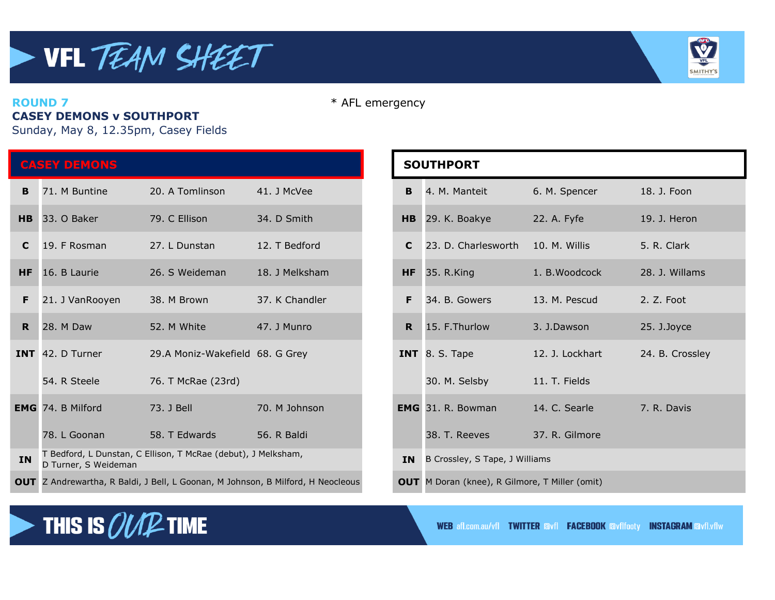## VFL TEAM SHEET  $\blacktriangleright$



#### **ROUND 7** \* AFL emergency **CASEY DEMONS v SOUTHPORT**

Sunday, May 8, 12.35pm, Casey Fields

THIS IS  $\mathcal{OUP}$  time

| <b>CASEY DEMONS</b> |                                                                                       |                                 |                | <b>SOUTHPORT</b> |                                                       |                 |                 |
|---------------------|---------------------------------------------------------------------------------------|---------------------------------|----------------|------------------|-------------------------------------------------------|-----------------|-----------------|
| B                   | 71. M Buntine                                                                         | 20. A Tomlinson                 | 41. J McVee    | B                | 4. M. Manteit                                         | 6. M. Spencer   | 18. J. Foon     |
| <b>HB</b>           | 33. O Baker                                                                           | 79. C Ellison                   | 34. D Smith    | H <sub>B</sub>   | 29. K. Boakye                                         | 22. A. Fyfe     | 19. J. Heron    |
| $\mathbf C$         | 19. F Rosman                                                                          | 27. L Dunstan                   | 12. T Bedford  | C                | 23. D. Charlesworth                                   | 10. M. Willis   | 5. R. Clark     |
| <b>HF</b>           | 16. B Laurie                                                                          | 26. S Weideman                  | 18. J Melksham | <b>HF</b>        | 35. R.King                                            | 1. B. Woodcock  | 28. J. Willams  |
| F.                  | 21. J VanRooyen                                                                       | 38. M Brown                     | 37. K Chandler | F                | 34. B. Gowers                                         | 13. M. Pescud   | 2. Z. Foot      |
| R <sub>1</sub>      | 28. M Daw                                                                             | 52. M White                     | 47. J Munro    | $\mathbf R$      | 15. F.Thurlow                                         | 3. J.Dawson     | 25. J.Joyce     |
|                     | <b>INT</b> 42. D Turner                                                               | 29.A Moniz-Wakefield 68. G Grey |                |                  | INT $8. S.$ Tape                                      | 12. J. Lockhart | 24. B. Crossley |
|                     | 54. R Steele                                                                          | 76. T McRae (23rd)              |                |                  | 30. M. Selsby                                         | 11. T. Fields   |                 |
|                     | <b>EMG</b> 74. B Milford                                                              | 73. J Bell                      | 70. M Johnson  |                  | <b>EMG</b> 31. R. Bowman                              | 14. C. Searle   | 7. R. Davis     |
|                     | 78. L Goonan                                                                          | 58. T Edwards                   | 56. R Baldi    |                  | 38. T. Reeves                                         | 37. R. Gilmore  |                 |
| <b>IN</b>           | T Bedford, L Dunstan, C Ellison, T McRae (debut), J Melksham,<br>D Turner, S Weideman |                                 |                | <b>IN</b>        | B Crossley, S Tape, J Williams                        |                 |                 |
|                     | OUT Z Andrewartha, R Baldi, J Bell, L Goonan, M Johnson, B Milford, H Neocleous       |                                 |                |                  | <b>OUT</b> M Doran (knee), R Gilmore, T Miller (omit) |                 |                 |

| <b>SOUTHPORT</b> |                                                       |                 |                 |  |  |  |
|------------------|-------------------------------------------------------|-----------------|-----------------|--|--|--|
| B                | 4. M. Manteit                                         | 6. M. Spencer   | 18. J. Foon     |  |  |  |
| HB.              | 29. K. Boakye                                         | 22. A. Fyfe     | 19. J. Heron    |  |  |  |
| $\mathbf C$      | 23. D. Charlesworth                                   | 10. M. Willis   | 5. R. Clark     |  |  |  |
| <b>HF</b>        | 35. R.King                                            | 1. B. Woodcock  | 28. J. Willams  |  |  |  |
| F                | 34. B. Gowers                                         | 13. M. Pescud   | 2. Z. Foot      |  |  |  |
| R.               | 15. F. Thurlow                                        | 3. J.Dawson     | 25. J.Joyce     |  |  |  |
|                  | INT 8. S. Tape                                        | 12. J. Lockhart | 24. B. Crossley |  |  |  |
|                  | 30. M. Selsby                                         | 11. T. Fields   |                 |  |  |  |
|                  | <b>EMG</b> 31, R. Bowman                              | 14. C. Searle   | 7. R. Davis     |  |  |  |
|                  | 38. T. Reeves                                         | 37. R. Gilmore  |                 |  |  |  |
| <b>IN</b>        | B Crossley, S Tape, J Williams                        |                 |                 |  |  |  |
|                  | <b>OUT</b> M Doran (knee), R Gilmore, T Miller (omit) |                 |                 |  |  |  |

**WEB** afl.com.au/vfl **TWITTER avfl FACEBOOK** avflfooty **INSTAGRAM** avfl.vflw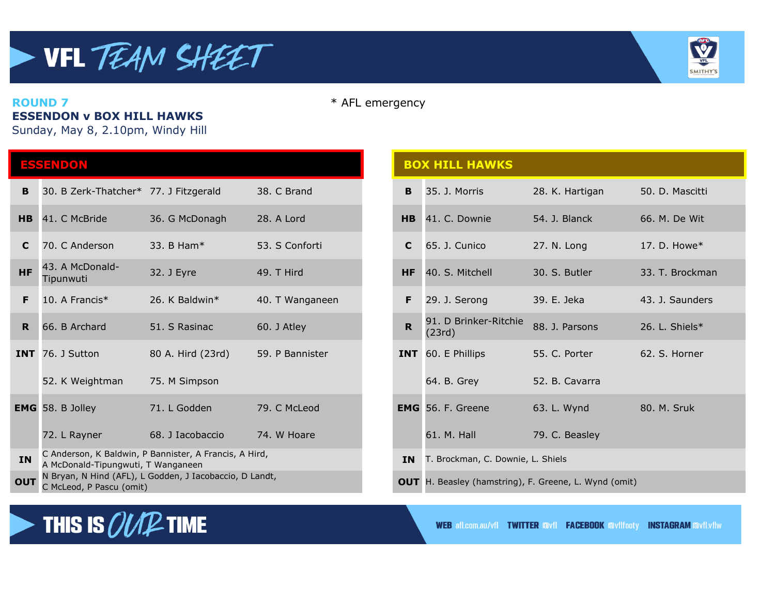

**ESSENDON v BOX HILL HAWKS**

Sunday, May 8, 2.10pm, Windy Hill

| ESSENDON       |                                                                                              |                   |                 | <b>BOX HILL HAWKS</b> |                                                              |                 |                 |
|----------------|----------------------------------------------------------------------------------------------|-------------------|-----------------|-----------------------|--------------------------------------------------------------|-----------------|-----------------|
| B              | 30. B Zerk-Thatcher* 77. J Fitzgerald                                                        |                   | 38. C Brand     | B                     | 35. J. Morris                                                | 28. K. Hartigan | 50. D. Mascitti |
| H <sub>B</sub> | 41. C McBride                                                                                | 36. G McDonagh    | 28. A Lord      | <b>HB</b>             | 41. C. Downie                                                | 54. J. Blanck   | 66. M. De Wit   |
| C.             | 70. C Anderson                                                                               | 33. B Ham*        | 53. S Conforti  | C                     | 65. J. Cunico                                                | 27. N. Long     | 17. D. Howe $*$ |
| <b>HF</b>      | 43. A McDonald-<br>Tipunwuti                                                                 | 32. J Eyre        | 49. T Hird      | <b>HF</b>             | 40. S. Mitchell                                              | 30. S. Butler   | 33. T. Brockma  |
| F              | 10. A Francis*                                                                               | 26. K Baldwin*    | 40. T Wanganeen | F.                    | 29. J. Serong                                                | 39. E. Jeka     | 43. J. Saunders |
| R <sub>1</sub> | 66. B Archard                                                                                | 51. S Rasinac     | 60. J Atley     | $\mathbf R$           | 91. D Brinker-Ritchie<br>(23rd)                              | 88. J. Parsons  | 26. L. Shiels*  |
|                | <b>INT</b> 76. J Sutton                                                                      | 80 A. Hird (23rd) | 59. P Bannister |                       | INT 60. E Phillips                                           | 55. C. Porter   | 62. S. Horner   |
|                | 52. K Weightman                                                                              | 75. M Simpson     |                 |                       | 64. B. Grey                                                  | 52. B. Cavarra  |                 |
|                | <b>EMG</b> 58. B Jolley                                                                      | 71. L Godden      | 79. C McLeod    |                       | <b>EMG</b> 56. F. Greene                                     | 63. L. Wynd     | 80. M. Sruk     |
|                | 72. L Rayner                                                                                 | 68. J Iacobaccio  | 74. W Hoare     |                       | 61. M. Hall                                                  | 79. C. Beasley  |                 |
| <b>IN</b>      | C Anderson, K Baldwin, P Bannister, A Francis, A Hird,<br>A McDonald-Tipungwuti, T Wanganeen |                   |                 | <b>IN</b>             | T. Brockman, C. Downie, L. Shiels                            |                 |                 |
| <b>OUT</b>     | N Bryan, N Hind (AFL), L Godden, J Iacobaccio, D Landt,<br>C Molend D Daccu (amit)           |                   |                 |                       | <b>OUT</b> H. Beasley (hamstring), F. Greene, L. Wynd (omit) |                 |                 |

### **ROUND 7** \* AFL emergency

## **BOX HILL HAWKS** Tipunwuti 32. J Eyre 49. T Hird **HF** 40. S. Mitchell 30. S. Butler 33. T. Brockman 91. D Brinker-Ritchie 91. D'Brinker-Kitchie 88. J. Parsons 26. L. Shiels\* **INT** 60. E Phillips 55. C. Porter 62. S. Horner 64. B. Grey 52. B. Cavarra **EMG** 56. F. Greene 63. L. Wynd 80. M. Sruk 61. M. Hall 79. C. Beasley C McLeod, P Pascu (omit) H. Beasley (hamstring), F. Greene, L. Wynd (omit) McLeod, P Pascu (omit) IN T. Brockman, C. Downie, L. Shiels